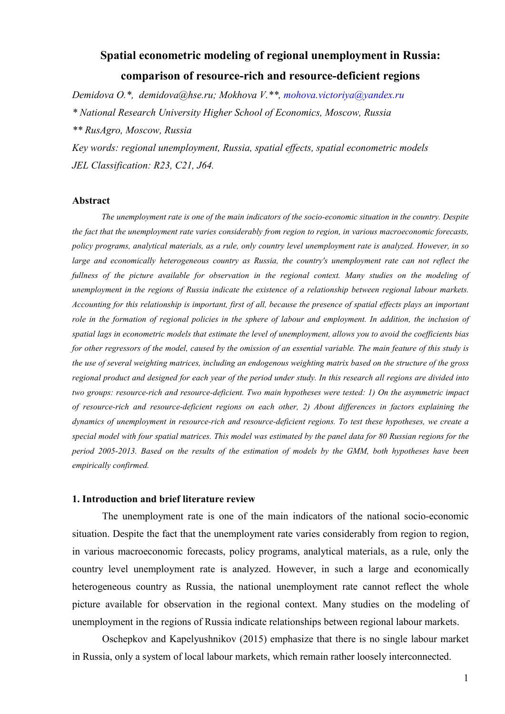# **Spatial econometric modeling of regional unemployment in Russia: comparison of resource-rich and resource-deficient regions**

*Demidova O.\*, demidova@hse.ru; Mokhova V.\*\*, mohova.victoriya@yandex.ru \* National Research University Higher School of Economics, Moscow, Russia* 

*\*\* RusAgro, Moscow, Russia* 

*Key words: regional unemployment, Russia, spatial effects, spatial econometric models JEL Classification: R23, C21, J64.* 

#### **Abstract**

*The unemployment rate is one of the main indicators of the socio-economic situation in the country. Despite the fact that the unemployment rate varies considerably from region to region, in various macroeconomic forecasts, policy programs, analytical materials, as a rule, only country level unemployment rate is analyzed. However, in so large and economically heterogeneous country as Russia, the country's unemployment rate can not reflect the fullness of the picture available for observation in the regional context. Many studies on the modeling of unemployment in the regions of Russia indicate the existence of a relationship between regional labour markets. Accounting for this relationship is important, first of all, because the presence of spatial effects plays an important*  role in the formation of regional policies in the sphere of labour and employment. In addition, the inclusion of *spatial lags in econometric models that estimate the level of unemployment, allows you to avoid the coefficients bias for other regressors of the model, caused by the omission of an essential variable. The main feature of this study is the use of several weighting matrices, including an endogenous weighting matrix based on the structure of the gross regional product and designed for each year of the period under study. In this research all regions are divided into two groups: resource-rich and resource-deficient. Two main hypotheses were tested: 1) On the asymmetric impact of resource-rich and resource-deficient regions on each other, 2) About differences in factors explaining the dynamics of unemployment in resource-rich and resource-deficient regions. To test these hypotheses, we create a special model with four spatial matrices. This model was estimated by the panel data for 80 Russian regions for the period 2005-2013. Based on the results of the estimation of models by the GMM, both hypotheses have been empirically confirmed.* 

#### **1. Introduction and brief literature review**

The unemployment rate is one of the main indicators of the national socio-economic situation. Despite the fact that the unemployment rate varies considerably from region to region, in various macroeconomic forecasts, policy programs, analytical materials, as a rule, only the country level unemployment rate is analyzed. However, in such a large and economically heterogeneous country as Russia, the national unemployment rate cannot reflect the whole picture available for observation in the regional context. Many studies on the modeling of unemployment in the regions of Russia indicate relationships between regional labour markets.

Oschepkov and Kapelyushnikov (2015) emphasize that there is no single labour market in Russia, only a system of local labour markets, which remain rather loosely interconnected.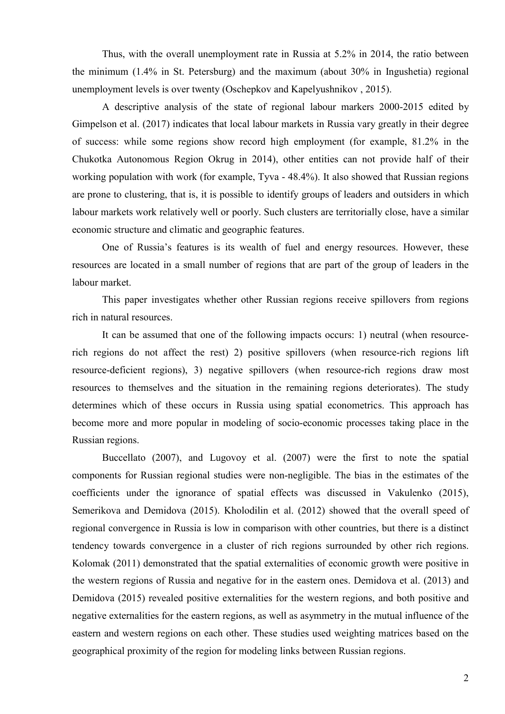Thus, with the overall unemployment rate in Russia at 5.2% in 2014, the ratio between the minimum (1.4% in St. Petersburg) and the maximum (about 30% in Ingushetia) regional unemployment levels is over twenty (Oschepkov and Kapelyushnikov , 2015).

A descriptive analysis of the state of regional labour markers 2000-2015 edited by Gimpelson et al. (2017) indicates that local labour markets in Russia vary greatly in their degree of success: while some regions show record high employment (for example, 81.2% in the Chukotka Autonomous Region Okrug in 2014), other entities can not provide half of their working population with work (for example, Tyva - 48.4%). It also showed that Russian regions are prone to clustering, that is, it is possible to identify groups of leaders and outsiders in which labour markets work relatively well or poorly. Such clusters are territorially close, have a similar economic structure and climatic and geographic features.

One of Russia's features is its wealth of fuel and energy resources. However, these resources are located in a small number of regions that are part of the group of leaders in the labour market.

This paper investigates whether other Russian regions receive spillovers from regions rich in natural resources.

It can be assumed that one of the following impacts occurs: 1) neutral (when resourcerich regions do not affect the rest) 2) positive spillovers (when resource-rich regions lift resource-deficient regions), 3) negative spillovers (when resource-rich regions draw most resources to themselves and the situation in the remaining regions deteriorates). The study determines which of these occurs in Russia using spatial econometrics. This approach has become more and more popular in modeling of socio-economic processes taking place in the Russian regions.

Buccellato (2007), and Lugovoy et al. (2007) were the first to note the spatial components for Russian regional studies were non-negligible. The bias in the estimates of the coefficients under the ignorance of spatial effects was discussed in Vakulenko (2015), Semerikova and Demidova (2015). Kholodilin et al. (2012) showed that the overall speed of regional convergence in Russia is low in comparison with other countries, but there is a distinct tendency towards convergence in a cluster of rich regions surrounded by other rich regions. Kolomak (2011) demonstrated that the spatial externalities of economic growth were positive in the western regions of Russia and negative for in the eastern ones. Demidova et al. (2013) and Demidova (2015) revealed positive externalities for the western regions, and both positive and negative externalities for the eastern regions, as well as asymmetry in the mutual influence of the eastern and western regions on each other. These studies used weighting matrices based on the geographical proximity of the region for modeling links between Russian regions.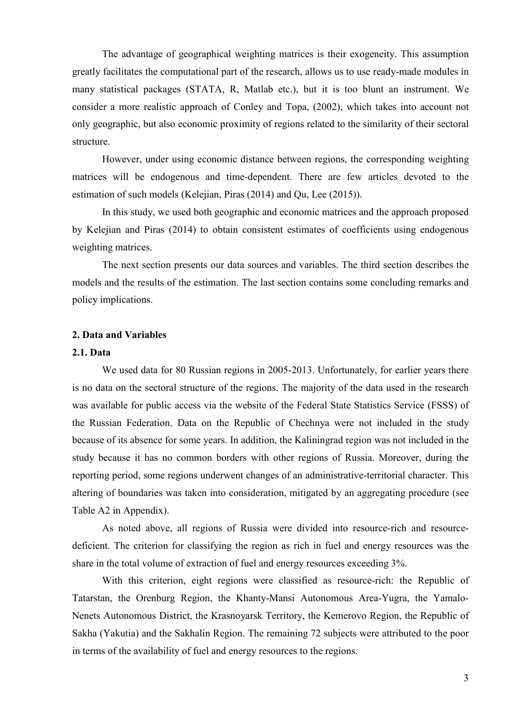The advantage of geographical weighting matrices is their exogeneity. This assumption greatly facilitates the computational part of the research, allows us to use ready-made modules in many statistical packages (STATA, R, Matlab etc.), but it is too blunt an instrument. We consider a more realistic approach of Conley and Topa, (2002), which takes into account not only geographic, but also economic proximity of regions related to the similarity of their sectoral structure.

However, under using economic distance between regions, the corresponding weighting matrices will be endogenous and time-dependent. There are few articles devoted to the estimation of such models (Kelejian, Piras (2014) and Qu, Lee (2015)).

In this study, we used both geographic and economic matrices and the approach proposed by Kelejian and Piras (2014) to obtain consistent estimates of coefficients using endogenous weighting matrices.

The next section presents our data sources and variables. The third section describes the models and the results of the estimation. The last section contains some concluding remarks and policy implications.

#### **2. Data and Variables**

# **2.1. Data**

We used data for 80 Russian regions in 2005-2013. Unfortunately, for earlier years there is no data on the sectoral structure of the regions. The majority of the data used in the research was available for public access via the website of the Federal State Statistics Service (FSSS) of the Russian Federation. Data on the Republic of Chechnya were not included in the study because of its absence for some years. In addition, the Kaliningrad region was not included in the study because it has no common borders with other regions of Russia. Moreover, during the reporting period, some regions underwent changes of an administrative-territorial character. This altering of boundaries was taken into consideration, mitigated by an aggregating procedure (see Table A2 in Appendix).

As noted above, all regions of Russia were divided into resource-rich and resourcedeficient. The criterion for classifying the region as rich in fuel and energy resources was the share in the total volume of extraction of fuel and energy resources exceeding 3%.

With this criterion, eight regions were classified as resource-rich: the Republic of Tatarstan, the Orenburg Region, the Khanty-Mansi Autonomous Area-Yugra, the Yamalo-Nenets Autonomous District, the Krasnoyarsk Territory, the Kemerovo Region, the Republic of Sakha (Yakutia) and the Sakhalin Region. The remaining 72 subjects were attributed to the poor in terms of the availability of fuel and energy resources to the regions.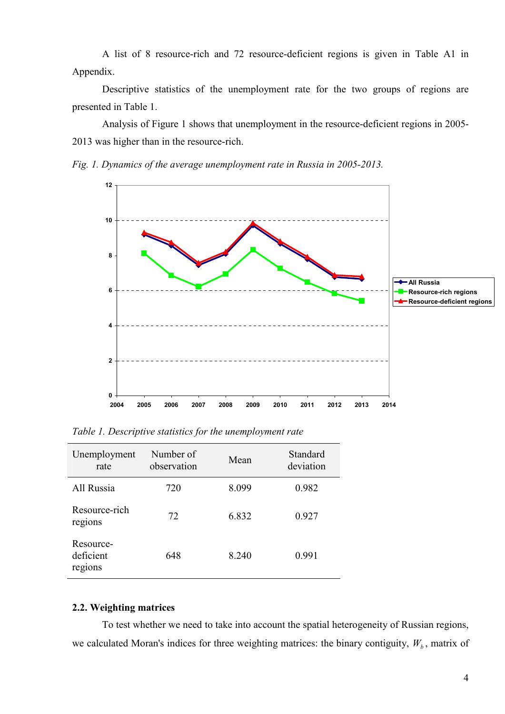A list of 8 resource-rich and 72 resource-deficient regions is given in Table A1 in Appendix.

Descriptive statistics of the unemployment rate for the two groups of regions are presented in Table 1.

Analysis of Figure 1 shows that unemployment in the resource-deficient regions in 2005- 2013 was higher than in the resource-rich.

*Fig. 1. Dynamics of the average unemployment rate in Russia in 2005-2013.* 



| Unemployment<br>rate              | Number of<br>observation | Mean  | Standard<br>deviation |
|-----------------------------------|--------------------------|-------|-----------------------|
| All Russia                        | 720                      | 8.099 | 0.982                 |
| Resource-rich<br>regions          | 72                       | 6.832 | 0.927                 |
| Resource-<br>deficient<br>regions | 648                      | 8.240 | 0.991                 |

*Table 1. Descriptive statistics for the unemployment rate* 

# **2.2. Weighting matrices**

To test whether we need to take into account the spatial heterogeneity of Russian regions, we calculated Moran's indices for three weighting matrices: the binary contiguity,  $W_b$ , matrix of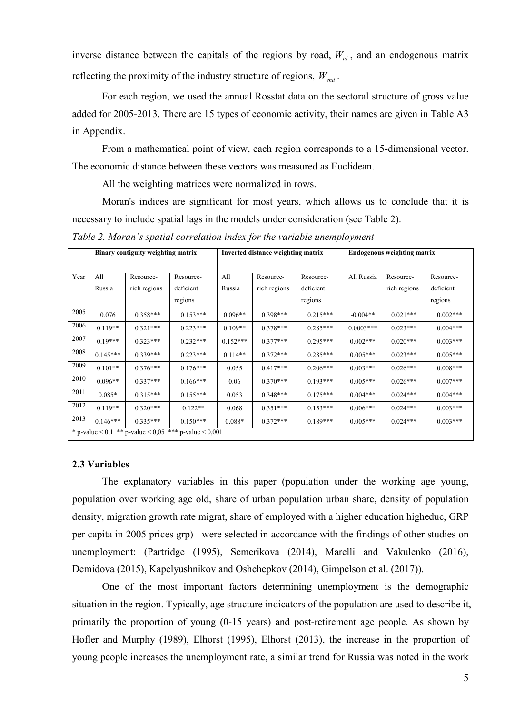inverse distance between the capitals of the regions by road,  $W_{id}$ , and an endogenous matrix reflecting the proximity of the industry structure of regions, *Wend* .

For each region, we used the annual Rosstat data on the sectoral structure of gross value added for 2005-2013. There are 15 types of economic activity, their names are given in Table A3 in Appendix.

From a mathematical point of view, each region corresponds to a 15-dimensional vector. The economic distance between these vectors was measured as Euclidean.

All the weighting matrices were normalized in rows.

Moran's indices are significant for most years, which allows us to conclude that it is necessary to include spatial lags in the models under consideration (see Table 2).

*Table 2. Moran's spatial correlation index for the variable unemployment* 

|      | Binary contiguity weighting matrix                    |              |            | Inverted distance weighting matrix |              | <b>Endogenous weighting matrix</b> |             |              |            |
|------|-------------------------------------------------------|--------------|------------|------------------------------------|--------------|------------------------------------|-------------|--------------|------------|
|      |                                                       |              |            |                                    |              |                                    |             |              |            |
| Year | All                                                   | Resource-    | Resource-  | All                                | Resource-    | Resource-                          | All Russia  | Resource-    | Resource-  |
|      | Russia                                                | rich regions | deficient  | Russia                             | rich regions | deficient                          |             | rich regions | deficient  |
|      |                                                       |              | regions    |                                    |              | regions                            |             |              | regions    |
| 2005 | 0.076                                                 | $0.358***$   | $0.153***$ | $0.096**$                          | $0.398***$   | $0.215***$                         | $-0.004**$  | $0.021***$   | $0.002***$ |
| 2006 | $0.119**$                                             | $0.321***$   | $0.223***$ | $0.109**$                          | $0.378***$   | $0.285***$                         | $0.0003***$ | $0.023***$   | $0.004***$ |
| 2007 | $0.19***$                                             | $0.323***$   | $0.232***$ | $0.152***$                         | $0.377***$   | $0.295***$                         | $0.002***$  | $0.020***$   | $0.003***$ |
| 2008 | $0.145***$                                            | $0.339***$   | $0.223***$ | $0.114**$                          | $0.372***$   | $0.285***$                         | $0.005***$  | $0.023***$   | $0.005***$ |
| 2009 | $0.101**$                                             | $0.376***$   | $0.176***$ | 0.055                              | $0.417***$   | $0.206***$                         | $0.003***$  | $0.026***$   | $0.008***$ |
| 2010 | $0.096**$                                             | $0.337***$   | $0.166***$ | 0.06                               | $0.370***$   | $0.193***$                         | $0.005***$  | $0.026***$   | $0.007***$ |
| 2011 | $0.085*$                                              | $0.315***$   | $0.155***$ | 0.053                              | $0.348***$   | $0.175***$                         | $0.004***$  | $0.024***$   | $0.004***$ |
| 2012 | $0.119**$                                             | $0.320***$   | $0.122**$  | 0.068                              | $0.351***$   | $0.153***$                         | $0.006***$  | $0.024***$   | $0.003***$ |
| 2013 | $0.146***$                                            | $0.335***$   | $0.150***$ | $0.088*$                           | $0.372***$   | $0.189***$                         | $0.005***$  | $0.024***$   | $0.003***$ |
|      | * p-value < 0,1 ** p-value < 0,05 *** p-value < 0,001 |              |            |                                    |              |                                    |             |              |            |

#### **2.3 Variables**

The explanatory variables in this paper (population under the working age young, population over working age old, share of urban population urban share, density of population density, migration growth rate migrat, share of employed with a higher education higheduc, GRP per capita in 2005 prices grp) were selected in accordance with the findings of other studies on unemployment: (Partridge (1995), Semerikova (2014), Marelli and Vakulenko (2016), Demidova (2015), Kapelyushnikov and Oshchepkov (2014), Gimpelson et al. (2017)).

One of the most important factors determining unemployment is the demographic situation in the region. Typically, age structure indicators of the population are used to describe it, primarily the proportion of young (0-15 years) and post-retirement age people. As shown by Hofler and Murphy (1989), Elhorst (1995), Elhorst (2013), the increase in the proportion of young people increases the unemployment rate, a similar trend for Russia was noted in the work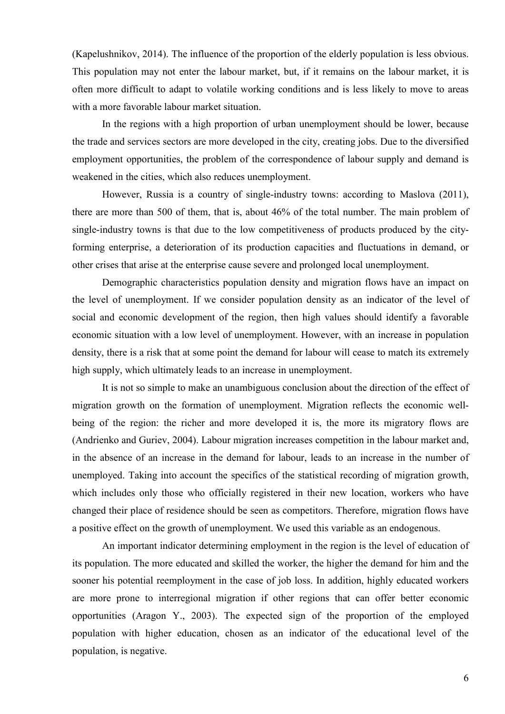(Kapelushnikov, 2014). The influence of the proportion of the elderly population is less obvious. This population may not enter the labour market, but, if it remains on the labour market, it is often more difficult to adapt to volatile working conditions and is less likely to move to areas with a more favorable labour market situation.

In the regions with a high proportion of urban unemployment should be lower, because the trade and services sectors are more developed in the city, creating jobs. Due to the diversified employment opportunities, the problem of the correspondence of labour supply and demand is weakened in the cities, which also reduces unemployment.

However, Russia is a country of single-industry towns: according to Maslova (2011), there are more than 500 of them, that is, about 46% of the total number. The main problem of single-industry towns is that due to the low competitiveness of products produced by the cityforming enterprise, a deterioration of its production capacities and fluctuations in demand, or other crises that arise at the enterprise cause severe and prolonged local unemployment.

Demographic characteristics population density and migration flows have an impact on the level of unemployment. If we consider population density as an indicator of the level of social and economic development of the region, then high values should identify a favorable economic situation with a low level of unemployment. However, with an increase in population density, there is a risk that at some point the demand for labour will cease to match its extremely high supply, which ultimately leads to an increase in unemployment.

It is not so simple to make an unambiguous conclusion about the direction of the effect of migration growth on the formation of unemployment. Migration reflects the economic wellbeing of the region: the richer and more developed it is, the more its migratory flows are (Andrienko and Guriev, 2004). Labour migration increases competition in the labour market and, in the absence of an increase in the demand for labour, leads to an increase in the number of unemployed. Taking into account the specifics of the statistical recording of migration growth, which includes only those who officially registered in their new location, workers who have changed their place of residence should be seen as competitors. Therefore, migration flows have a positive effect on the growth of unemployment. We used this variable as an endogenous.

An important indicator determining employment in the region is the level of education of its population. The more educated and skilled the worker, the higher the demand for him and the sooner his potential reemployment in the case of job loss. In addition, highly educated workers are more prone to interregional migration if other regions that can offer better economic opportunities (Aragon Y., 2003). The expected sign of the proportion of the employed population with higher education, chosen as an indicator of the educational level of the population, is negative.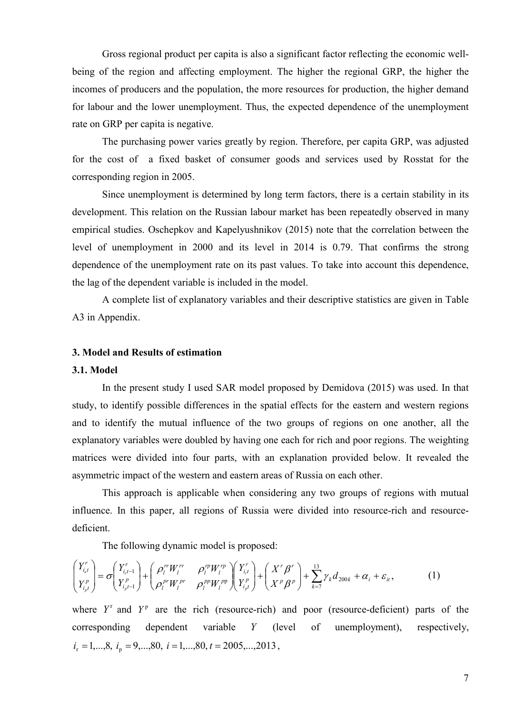Gross regional product per capita is also a significant factor reflecting the economic wellbeing of the region and affecting employment. The higher the regional GRP, the higher the incomes of producers and the population, the more resources for production, the higher demand for labour and the lower unemployment. Thus, the expected dependence of the unemployment rate on GRP per capita is negative.

The purchasing power varies greatly by region. Therefore, per capita GRP, was adjusted for the cost of a fixed basket of consumer goods and services used by Rosstat for the corresponding region in 2005.

Since unemployment is determined by long term factors, there is a certain stability in its development. This relation on the Russian labour market has been repeatedly observed in many empirical studies. Oschepkov and Kapelyushnikov (2015) note that the correlation between the level of unemployment in 2000 and its level in 2014 is 0.79. That confirms the strong dependence of the unemployment rate on its past values. To take into account this dependence, the lag of the dependent variable is included in the model.

A complete list of explanatory variables and their descriptive statistics are given in Table A3 in Appendix.

#### **3. Model and Results of estimation**

# **3.1. Model**

In the present study I used SAR model proposed by Demidova (2015) was used. In that study, to identify possible differences in the spatial effects for the eastern and western regions and to identify the mutual influence of the two groups of regions on one another, all the explanatory variables were doubled by having one each for rich and poor regions. The weighting matrices were divided into four parts, with an explanation provided below. It revealed the asymmetric impact of the western and eastern areas of Russia on each other.

This approach is applicable when considering any two groups of regions with mutual influence. In this paper, all regions of Russia were divided into resource-rich and resourcedeficient.

The following dynamic model is proposed:

$$
\begin{pmatrix} Y_{i_{k}t}^{r} \\ Y_{i_{p}t}^{p} \end{pmatrix} = \sigma \begin{pmatrix} Y_{i_{k}t-1}^{r} \\ Y_{i_{p}t-1}^{p} \end{pmatrix} + \begin{pmatrix} \rho_{i}^{rr}W_{l}^{rr} & \rho_{i}^{rp}W_{l}^{rp} \\ \rho_{i}^{pr}W_{l}^{pr} & \rho_{i}^{pp}W_{l}^{pp} \end{pmatrix} + \begin{pmatrix} Y_{i_{k}t}^{r} \\ Y_{i_{p}t}^{p} \end{pmatrix} + \begin{pmatrix} X^{r} \beta^{r} \\ X^{p} \beta^{p} \end{pmatrix} + \sum_{k=7}^{13} \gamma_{k} d_{200k} + \alpha_{i} + \varepsilon_{ii}, \qquad (1)
$$

where  $Y^r$  and  $Y^p$  are the rich (resource-rich) and poor (resource-deficient) parts of the corresponding dependent variable *Y* (level of unemployment), respectively,  $i_r = 1, \dots, 8, i_p = 9, \dots, 80, i = 1, \dots, 80, t = 2005, \dots, 2013,$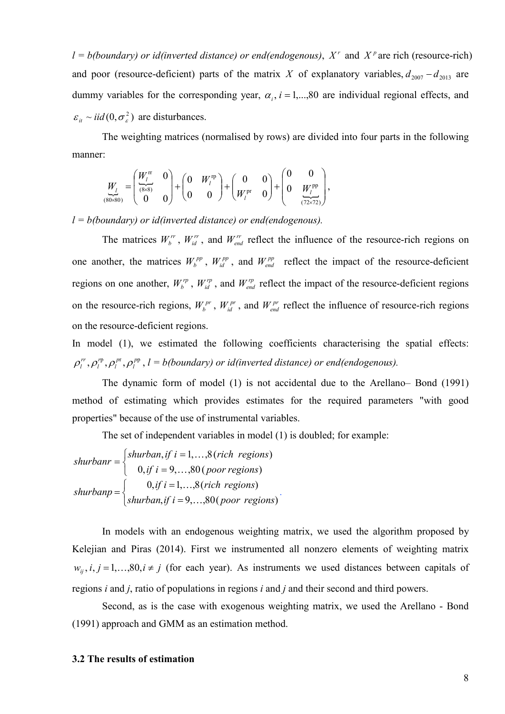$l = b(boundary)$  *or id(inverted distance) or end(endogenous),*  $X<sup>r</sup>$  and  $X<sup>p</sup>$  are rich (resource-rich) and poor (resource-deficient) parts of the matrix *X* of explanatory variables,  $d_{2007} - d_{2013}$  are dummy variables for the corresponding year,  $\alpha_i$ ,  $i = 1,...,80$  are individual regional effects, and  $\varepsilon_{it} \sim \textit{iid} (0, \sigma_{\varepsilon}^2)$  are disturbances.

The weighting matrices (normalised by rows) are divided into four parts in the following manner:

$$
\underbrace{W_{l}}_{(80\times80)} = \begin{pmatrix} \frac{W_{l}^{r}}{8\times81} & 0 \\ 0 & 0 \end{pmatrix} + \begin{pmatrix} 0 & W_{l}^{r} \\ 0 & 0 \end{pmatrix} + \begin{pmatrix} 0 & 0 \\ W_{l}^{pr} & 0 \end{pmatrix} + \begin{pmatrix} 0 & 0 \\ 0 & \frac{W_{l}^{p}}{(72\times72)} \end{pmatrix},
$$

*l = b(boundary) or id(inverted distance) or end(endogenous).*

The matrices  $W_l^r$ ,  $W_{ld}^r$ , and  $W_{end}^r$  reflect the influence of the resource-rich regions on one another, the matrices  $W_b^{pp}$ ,  $W_{id}^{pp}$ , and  $W_{end}^{pp}$  reflect the impact of the resource-deficient regions on one another,  $W_b^{rp}$ ,  $W_{id}^{rp}$ , and  $W_{end}^{rp}$  reflect the impact of the resource-deficient regions on the resource-rich regions,  $W_b^{pr}$ ,  $W_{id}^{pr}$ , and  $W_{end}^{pr}$  reflect the influence of resource-rich regions on the resource-deficient regions.

In model (1), we estimated the following coefficients characterising the spatial effects:  $,\rho^{\tiny{\text{rp}}}_l,\rho^{\tiny{\text{pr}}}_l,\rho^{\tiny{\text{pp}}}_l$ *l p l r*  $\rho_l^r$ ,  $\rho_l^{\rm rp}$ ,  $\rho_l^{\rm pr}$ ,  $l = b(boundary)$  or id(inverted distance) or end(endogenous).

The dynamic form of model (1) is not accidental due to the Arellano– Bond (1991) method of estimating which provides estimates for the required parameters "with good properties" because of the use of instrumental variables.

The set of independent variables in model (1) is doubled; for example:

shurbanr = 
$$
\begin{cases} shurban, if i = 1,...,8 (rich regions) \\ 0, if i = 9,...,80 (poor regions) \\ shurbanp = \begin{cases} 0, if i = 1,...,8 (rich regions) \\ shurban, if i = 9,...,80 (poor regions) \end{cases} \end{cases}
$$

In models with an endogenous weighting matrix, we used the algorithm proposed by Kelejian and Piras (2014). First we instrumented all nonzero elements of weighting matrix  $w_{ij}$ ,  $i, j = 1,...,80$ ,  $i \neq j$  (for each year). As instruments we used distances between capitals of regions *i* and *j*, ratio of populations in regions *i* and *j* and their second and third powers.

Second, as is the case with exogenous weighting matrix, we used the Arellano - Bond (1991) approach and GMM as an estimation method.

#### **3.2 The results of estimation**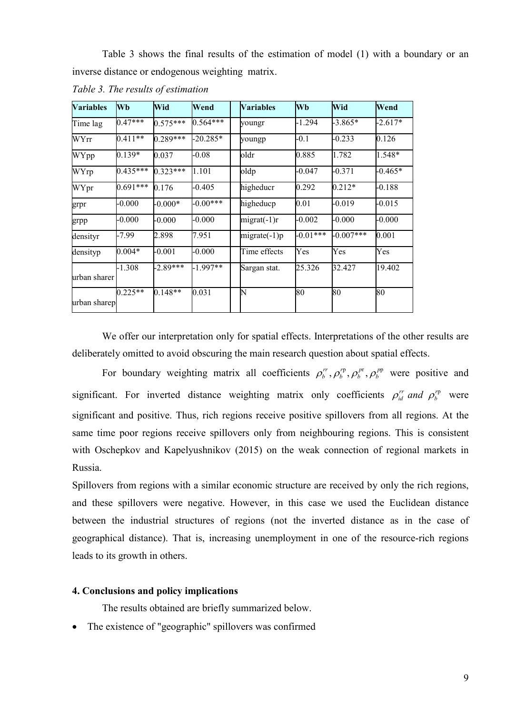Table 3 shows the final results of the estimation of model (1) with a boundary or an inverse distance or endogenous weighting matrix.

| <b>Variables</b> | Wb         | Wid        | Wend       | <b>Variables</b> | Wb         | Wid         | Wend      |
|------------------|------------|------------|------------|------------------|------------|-------------|-----------|
| Time lag         | $0.47***$  | $0.575***$ | $0.564***$ | youngr           | -1.294     | $-3.865*$   | $-2.617*$ |
| WYrr             | $0.411**$  | $0.289***$ | $-20.285*$ | youngp           | $-0.1$     | $-0.233$    | 0.126     |
| WYpp             | $0.139*$   | 0.037      | $-0.08$    | oldr             | 0.885      | 1.782       | 1.548*    |
| WYrp             | $0.435***$ | $0.323***$ | 1.101      | oldp             | $-0.047$   | $-0.371$    | $-0.465*$ |
| WYpr             | $0.691***$ | 0.176      | $-0.405$   | higheducr        | 0.292      | $0.212*$    | $-0.188$  |
| grpr             | $-0.000$   | $-0.000*$  | $-0.00***$ | higheducp        | 0.01       | $-0.019$    | $-0.015$  |
| grpp             | $-0.000$   | $-0.000$   | $-0.000$   | $migrat(-1)r$    | $-0.002$   | $-0.000$    | $-0.000$  |
| densityr         | -7.99      | 2.898      | 7.951      | $migrate(-1)p$   | $-0.01***$ | $-0.007***$ | 0.001     |
| densityp         | $0.004*$   | $-0.001$   | $-0.000$   | Time effects     | Yes        | Yes         | Yes       |
| urban sharer     | $-1.308$   | $-2.89***$ | $1.997**$  | Sargan stat.     | 25.326     | 32.427      | 19.402    |
| urban sharep     | $0.225**$  | $0.148**$  | 0.031      | N                | 80         | 80          | 80        |

*Table 3. The results of estimation* 

We offer our interpretation only for spatial effects. Interpretations of the other results are deliberately omitted to avoid obscuring the main research question about spatial effects.

For boundary weighting matrix all coefficients  $\rho_b^r$ ,  $\rho_b^r$ ,  $\rho_b^p$ ,  $\rho_b^p$ *b p b r*  $\rho_b^{rr}, \rho_b^{rp}, \rho_b^{pr}, \rho_b^{rp}$  were positive and significant. For inverted distance weighting matrix only coefficients  $\rho_{id}^{rr}$  and  $\rho_b^{rp}$  $\rho_{id}^{rr}$  *and*  $\rho_b^{rp}$  were significant and positive. Thus, rich regions receive positive spillovers from all regions. At the same time poor regions receive spillovers only from neighbouring regions. This is consistent with Oschepkov and Kapelyushnikov (2015) on the weak connection of regional markets in Russia.

Spillovers from regions with a similar economic structure are received by only the rich regions, and these spillovers were negative. However, in this case we used the Euclidean distance between the industrial structures of regions (not the inverted distance as in the case of geographical distance). That is, increasing unemployment in one of the resource-rich regions leads to its growth in others.

# **4. Conclusions and policy implications**

The results obtained are briefly summarized below.

• The existence of "geographic" spillovers was confirmed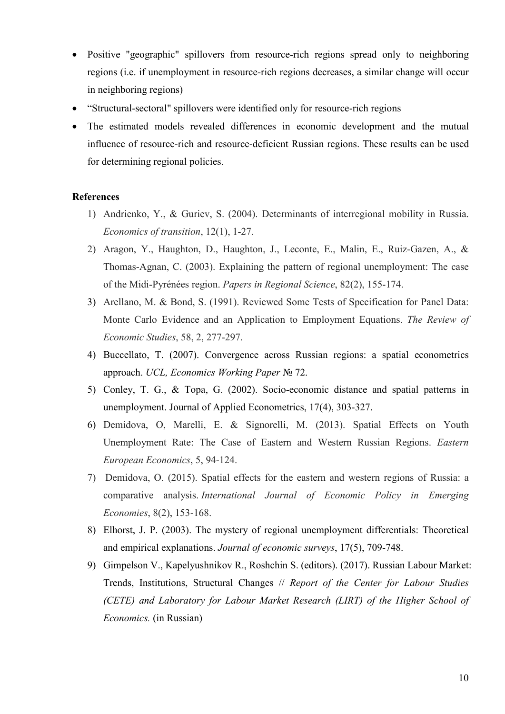- Positive "geographic" spillovers from resource-rich regions spread only to neighboring regions (i.e. if unemployment in resource-rich regions decreases, a similar change will occur in neighboring regions)
- "Structural-sectoral" spillovers were identified only for resource-rich regions
- The estimated models revealed differences in economic development and the mutual influence of resource-rich and resource-deficient Russian regions. These results can be used for determining regional policies.

## **References**

- 1) Andrienko, Y., & Guriev, S. (2004). Determinants of interregional mobility in Russia. *Economics of transition*, 12(1), 1-27.
- 2) Aragon, Y., Haughton, D., Haughton, J., Leconte, E., Malin, E., Ruiz-Gazen, A., & Thomas-Agnan, C. (2003). Explaining the pattern of regional unemployment: The case of the Midi-Pyrénées region. *Papers in Regional Science*, 82(2), 155-174.
- 3) Arellano, M. & Bond, S. (1991). Reviewed Some Tests of Specification for Panel Data: Monte Carlo Evidence and an Application to Employment Equations. *The Review of Economic Studies*, 58, 2, 277-297.
- 4) Buccellato, T. (2007). Convergence across Russian regions: a spatial econometrics approach. *UCL, Economics Working Paper* № 72.
- 5) Conley, T. G., & Topa, G. (2002). Socio-economic distance and spatial patterns in unemployment. Journal of Applied Econometrics, 17(4), 303-327.
- 6) Demidova, O, Marelli, E. & Signorelli, M. (2013). Spatial Effects on Youth Unemployment Rate: The Case of Eastern and Western Russian Regions. *Eastern European Economics*, 5, 94-124.
- 7) Demidova, O. (2015). Spatial effects for the eastern and western regions of Russia: a comparative analysis. *International Journal of Economic Policy in Emerging Economies*, 8(2), 153-168.
- 8) Elhorst, J. P. (2003). The mystery of regional unemployment differentials: Theoretical and empirical explanations. *Journal of economic surveys*, 17(5), 709-748.
- 9) Gimpelson V., Kapelyushnikov R., Roshchin S. (editors). (2017). Russian Labour Market: Trends, Institutions, Structural Changes // *Report of the Center for Labour Studies (CETE) and Laboratory for Labour Market Research (LIRT) of the Higher School of Economics.* (in Russian)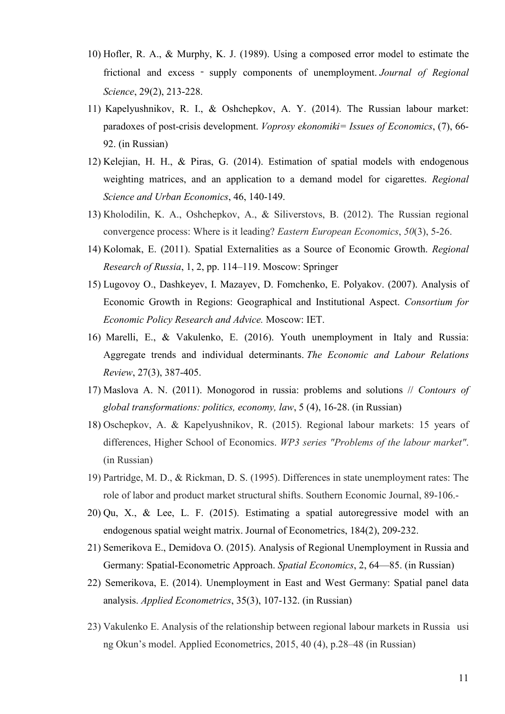- 10) Hofler, R. A., & Murphy, K. J. (1989). Using a composed error model to estimate the frictional and excess ‐ supply components of unemployment. *Journal of Regional Science*, 29(2), 213-228.
- 11) Kapelyushnikov, R. I., & Oshchepkov, A. Y. (2014). The Russian labour market: paradoxes of post-crisis development. *Voprosy ekonomiki= Issues of Economics*, (7), 66- 92. (in Russian)
- 12) Kelejian, H. H., & Piras, G. (2014). Estimation of spatial models with endogenous weighting matrices, and an application to a demand model for cigarettes. *Regional Science and Urban Economics*, 46, 140-149.
- 13) Kholodilin, K. A., Oshchepkov, A., & Siliverstovs, B. (2012). The Russian regional convergence process: Where is it leading? *Eastern European Economics*, *50*(3), 5-26.
- 14) Kolomak, E. (2011). Spatial Externalities as a Source of Economic Growth. *Regional Research of Russia*, 1, 2, pp. 114–119. Moscow: Springer
- 15) Lugovoy O., Dashkeyev, I. Mazayev, D. Fomchenko, Е. Polyakov. (2007). Analysis of Economic Growth in Regions: Geographical and Institutional Aspect. *Consortium for Economic Policy Research and Advice.* Moscow: IET.
- 16) Marelli, E., & Vakulenko, E. (2016). Youth unemployment in Italy and Russia: Aggregate trends and individual determinants. *The Economic and Labour Relations Review*, 27(3), 387-405.
- 17) Maslova A. N. (2011). Monogorod in russia: problems and solutions // *Contours of global transformations: politics, economy, law*, 5 (4), 16-28. (in Russian)
- 18) Oschepkov, A. & Kapelyushnikov, R. (2015). Regional labour markets: 15 years of differences, Higher School of Economics. *WP3 series "Problems of the labour market"*. (in Russian)
- 19) Partridge, M. D., & Rickman, D. S. (1995). Differences in state unemployment rates: The role of labor and product market structural shifts. Southern Economic Journal, 89-106.-
- 20) Qu, X., & Lee, L. F. (2015). Estimating a spatial autoregressive model with an endogenous spatial weight matrix. Journal of Econometrics, 184(2), 209-232.
- 21) Semerikova E., Demidova О. (2015). Analysis of Regional Unemployment in Russia and Germany: Spatial-Econometric Approach. *Spatial Economics*, 2, 64—85. (in Russian)
- 22) Semerikova, E. (2014). Unemployment in East and West Germany: Spatial panel data analysis. *Applied Econometrics*, 35(3), 107-132. (in Russian)
- 23) Vakulenko E. Analysis of the relationship between regional labour markets in Russia usi ng Okun's model. Applied Econometrics, 2015, 40 (4), p.28–48 (in Russian)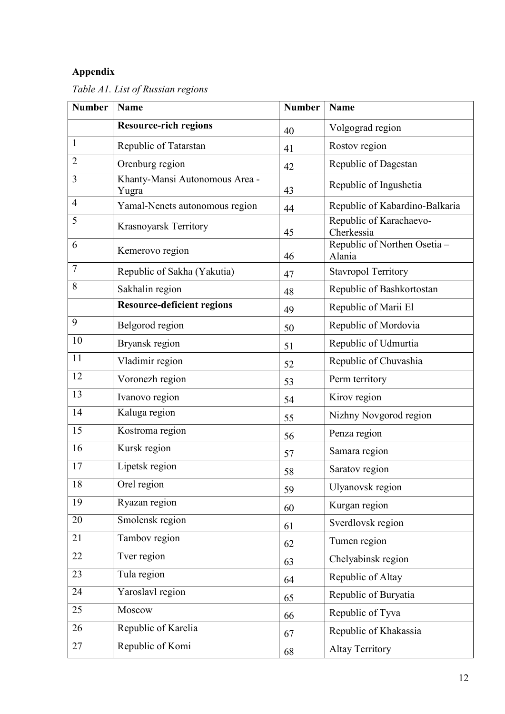# **Appendix**

| <b>Number</b>  | <b>Name</b>                             | <b>Number</b> | <b>Name</b>                            |
|----------------|-----------------------------------------|---------------|----------------------------------------|
|                | <b>Resource-rich regions</b>            | 40            | Volgograd region                       |
| 1              | Republic of Tatarstan                   | 41            | Rostov region                          |
| $\overline{2}$ | Orenburg region                         | 42            | Republic of Dagestan                   |
| 3              | Khanty-Mansi Autonomous Area -<br>Yugra | 43            | Republic of Ingushetia                 |
| $\overline{4}$ | Yamal-Nenets autonomous region          | 44            | Republic of Kabardino-Balkaria         |
| 5              | Krasnoyarsk Territory                   | 45            | Republic of Karachaevo-<br>Cherkessia  |
| 6              | Kemerovo region                         | 46            | Republic of Northen Osetia -<br>Alania |
| $\overline{7}$ | Republic of Sakha (Yakutia)             | 47            | <b>Stavropol Territory</b>             |
| 8              | Sakhalin region                         | 48            | Republic of Bashkortostan              |
|                | <b>Resource-deficient regions</b>       | 49            | Republic of Marii El                   |
| 9              | Belgorod region                         | 50            | Republic of Mordovia                   |
| 10             | Bryansk region                          | 51            | Republic of Udmurtia                   |
| 11             | Vladimir region                         | 52            | Republic of Chuvashia                  |
| 12             | Voronezh region                         | 53            | Perm territory                         |
| 13             | Ivanovo region                          | 54            | Kirov region                           |
| 14             | Kaluga region                           | 55            | Nizhny Novgorod region                 |
| 15             | Kostroma region                         | 56            | Penza region                           |
| 16             | Kursk region                            | 57            | Samara region                          |
| 17             | Lipetsk region                          | 58            | Saratov region                         |
| 18             | Orel region                             | 59            | Ulyanovsk region                       |
| 19             | Ryazan region                           | 60            | Kurgan region                          |
| 20             | Smolensk region                         | 61            | Sverdlovsk region                      |
| 21             | Tambov region                           | 62            | Tumen region                           |
| 22             | Tver region                             | 63            | Chelyabinsk region                     |
| 23             | Tula region                             | 64            | Republic of Altay                      |
| 24             | Yaroslavl region                        | 65            | Republic of Buryatia                   |
| 25             | Moscow                                  | 66            | Republic of Tyva                       |
| 26             | Republic of Karelia                     | 67            | Republic of Khakassia                  |
| 27             | Republic of Komi                        | 68            | <b>Altay Territory</b>                 |

*Table A1. List of Russian regions*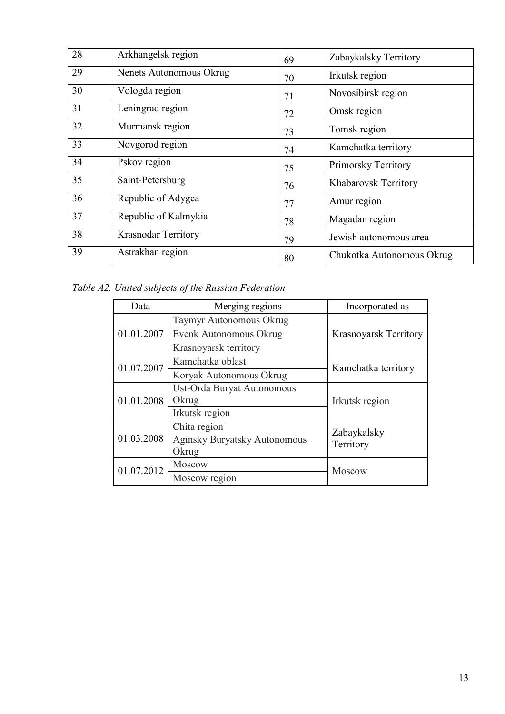| 28 | Arkhangelsk region         | 69 | Zabaykalsky Territory     |
|----|----------------------------|----|---------------------------|
| 29 | Nenets Autonomous Okrug    | 70 | Irkutsk region            |
| 30 | Vologda region             | 71 | Novosibirsk region        |
| 31 | Leningrad region           | 72 | Omsk region               |
| 32 | Murmansk region            | 73 | Tomsk region              |
| 33 | Novgorod region            | 74 | Kamchatka territory       |
| 34 | Pskov region               | 75 | Primorsky Territory       |
| 35 | Saint-Petersburg           | 76 | Khabarovsk Territory      |
| 36 | Republic of Adygea         | 77 | Amur region               |
| 37 | Republic of Kalmykia       | 78 | Magadan region            |
| 38 | <b>Krasnodar Territory</b> | 79 | Jewish autonomous area    |
| 39 | Astrakhan region           | 80 | Chukotka Autonomous Okrug |

*Table A2. United subjects of the Russian Federation*

| Data       | Merging regions                | Incorporated as              |  |
|------------|--------------------------------|------------------------------|--|
|            | <b>Taymyr Autonomous Okrug</b> |                              |  |
| 01.01.2007 | Evenk Autonomous Okrug         | <b>Krasnoyarsk Territory</b> |  |
|            | Krasnoyarsk territory          |                              |  |
| 01.07.2007 | Kamchatka oblast               | Kamchatka territory          |  |
|            | Koryak Autonomous Okrug        |                              |  |
|            | Ust-Orda Buryat Autonomous     |                              |  |
| 01.01.2008 | Okrug                          | Irkutsk region               |  |
|            | Irkutsk region                 |                              |  |
|            | Chita region                   | Zabaykalsky                  |  |
| 01.03.2008 | Aginsky Buryatsky Autonomous   | Territory                    |  |
|            | Okrug                          |                              |  |
| 01.07.2012 | Moscow                         | Moscow                       |  |
|            | Moscow region                  |                              |  |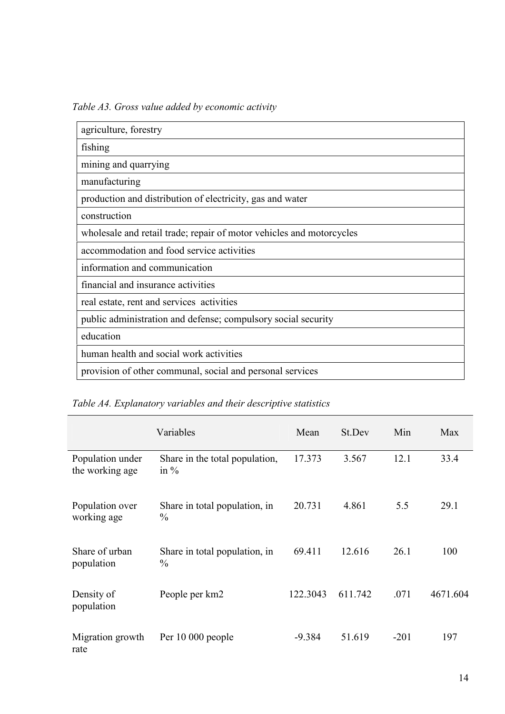*Table A3. Gross value added by economic activity* 

| agriculture, forestry                                                |
|----------------------------------------------------------------------|
| fishing                                                              |
| mining and quarrying                                                 |
| manufacturing                                                        |
| production and distribution of electricity, gas and water            |
| construction                                                         |
| wholesale and retail trade; repair of motor vehicles and motorcycles |
| accommodation and food service activities                            |
| information and communication                                        |
| financial and insurance activities                                   |
| real estate, rent and services activities                            |
| public administration and defense; compulsory social security        |
| education                                                            |
| human health and social work activities                              |
| provision of other communal, social and personal services            |

*Table A4. Explanatory variables and their descriptive statistics* 

|                                     | Variables                                      | Mean     | St.Dev  | Min    | Max      |
|-------------------------------------|------------------------------------------------|----------|---------|--------|----------|
| Population under<br>the working age | Share in the total population,<br>in $%$       | 17.373   | 3.567   | 12.1   | 33.4     |
| Population over<br>working age      | Share in total population, in<br>$\frac{0}{0}$ | 20.731   | 4.861   | 5.5    | 29.1     |
| Share of urban<br>population        | Share in total population, in<br>$\frac{0}{0}$ | 69.411   | 12.616  | 26.1   | 100      |
| Density of<br>population            | People per km2                                 | 122.3043 | 611.742 | .071   | 4671.604 |
| Migration growth<br>rate            | Per 10 000 people                              | $-9.384$ | 51.619  | $-201$ | 197      |